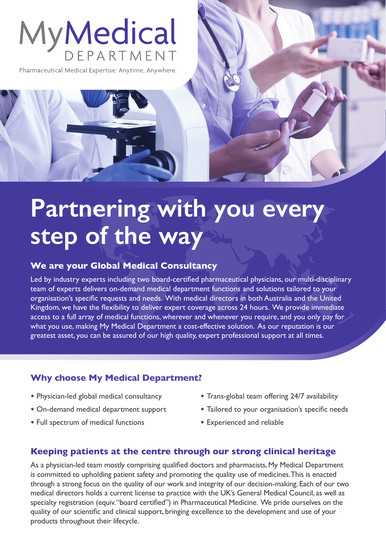# MyMedical

Pharmaceutical Medical Expertise: Anytime, Anywhere.

## **Partnering with you every step of the way**

#### **We are your Global Medical Consultancy**

Led by industry experts including two board-certified pharmaceutical physicians, our multi-disciplinary team of experts delivers on-demand medical department functions and solutions tailored to your organisation's specific requests and needs. With medical directors in both Australia and the United Kingdom, we have the flexibility to deliver expert coverage across 24 hours. We provide immediate access to a full array of medical functions, wherever and whenever you require, and you only pay for what you use, making My Medical Department a cost-effective solution. As our reputation is our greatest asset, you can be assured of our high quality, expert professional support at all times.

#### **Why choose My Medical Department?**

- **•** Physician-led global medical consultancy
- **•** On-demand medical department support
- **•** Full spectrum of medical functions
- Trans-global team offering 24/7 availability
- Tailored to your organisation's specific needs
- Experienced and reliable

#### **Keeping patients at the centre through our strong clinical heritage**

As a physician-led team mostly comprising qualified doctors and pharmacists, My Medical Department is committed to upholding patient safety and promoting the quality use of medicines. This is enacted through a strong focus on the quality of our work and integrity of our decision-making. Each of our two medical directors holds a current license to practice with the UK's General Medical Council, as well as specialty registration (equiv. "board certified") in Pharmaceutical Medicine. We pride ourselves on the quality of our scientific and clinical support, bringing excellence to the development and use of your products throughout their lifecycle.